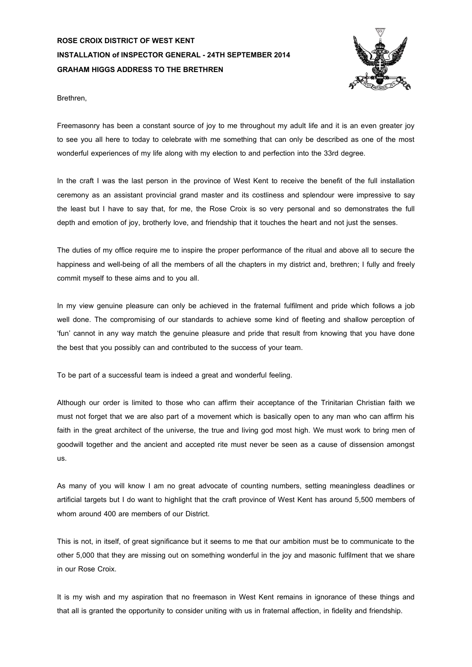## **ROSE CROIX DISTRICT OF WEST KENT INSTALLATION of INSPECTOR GENERAL -24TH SEPTEMBER 2014 GRAHAM HIGGS ADDRESS TO THE BRETHREN**



Brethren,

Freemasonry has been a constant source of joy to me throughout my adult life and it is an even greater joy to see you all here to today to celebrate with me something that can only be described as one of the most wonderful experiences of my life along with my election to and perfection into the 33rd degree.

In the craft I was the last person in the province of West Kent to receive the benefit of the full installation ceremony as an assistant provincial grand master and its costliness and splendour were impressive to say the least but I have to say that, for me, the Rose Croix is so very personal and so demonstrates the full depth and emotion of joy, brotherly love, and friendship that it touches the heart and not just the senses.

The duties of my office require me to inspire the proper performance of the ritual and above all to secure the happiness and well-being of all the members of all the chapters in my district and, brethren; I fully and freely commit myself to these aims and to you all.

In my view genuine pleasure can only be achieved in the fraternal fulfilment and pride which follows a job well done. The compromising of our standards to achieve some kind of fleeting and shallow perception of 'fun' cannot in any way match the genuine pleasure and pride that result from knowing that you have done the best that you possibly can and contributed to the success of your team.

To be part of a successful team is indeed a great and wonderful feeling.

Although our order is limited to those who can affirm their acceptance of the Trinitarian Christian faith we must not forget that we are also part of a movement which is basically open to any man who can affirm his faith in the great architect of the universe, the true and living god most high. We must work to bring men of goodwill together and the ancient and accepted rite must never be seen as a cause of dissension amongst us.

As many of you will know I am no great advocate of counting numbers, setting meaningless deadlines or artificial targets but I do want to highlight that the craft province of West Kent has around 5,500 members of whom around 400 are members of our District.

This is not, in itself, of great significance but it seems to me that our ambition must be to communicate to the other 5,000 that they are missing out on something wonderful in the joy and masonic fulfilment that we share in our Rose Croix.

It is my wish and my aspiration that no freemason in West Kent remains in ignorance of these things and that all is granted the opportunity to consider uniting with us in fraternal affection, in fidelity and friendship.